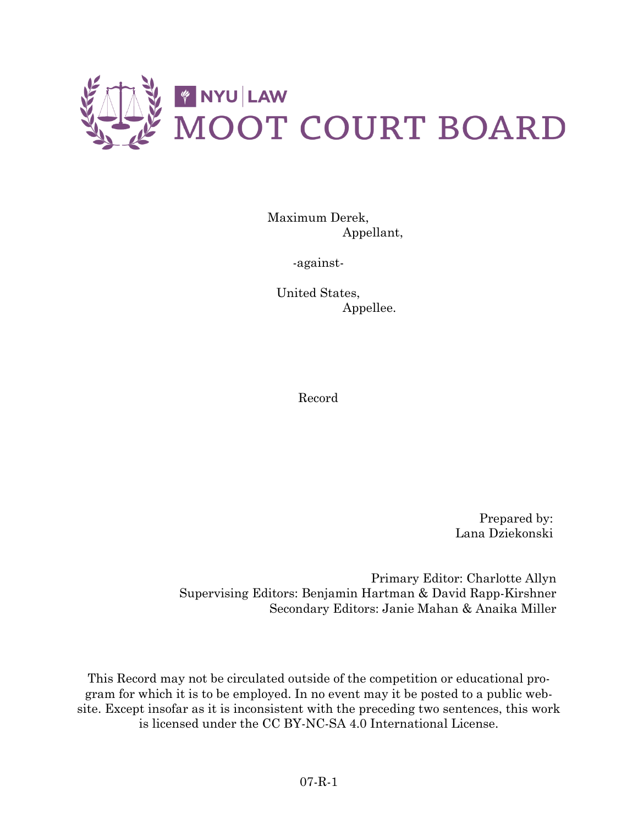

Maximum Derek, Appellant,

-against-

United States, Appellee.

Record

Prepared by: Lana Dziekonski

Primary Editor: Charlotte Allyn Supervising Editors: Benjamin Hartman & David Rapp-Kirshner Secondary Editors: Janie Mahan & Anaika Miller

This Record may not be circulated outside of the competition or educational program for which it is to be employed. In no event may it be posted to a public website. Except insofar as it is inconsistent with the preceding two sentences, this work is licensed under the CC BY-NC-SA 4.0 International License.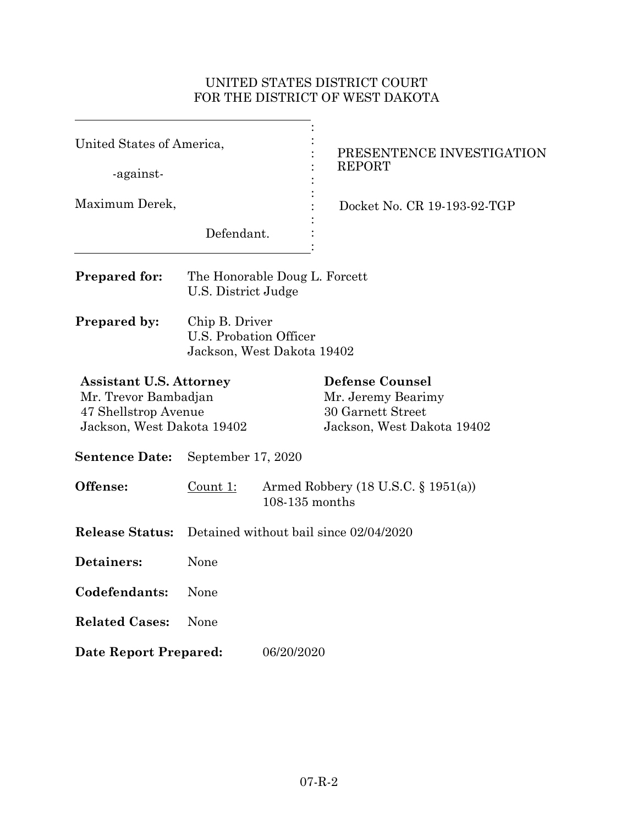# UNITED STATES DISTRICT COURT FOR THE DISTRICT OF WEST DAKOTA

| United States of America,<br>-against-                                                                       |                                                                                   |            | PRESENTENCE INVESTIGATION<br><b>REPORT</b>                                                      |  |  |
|--------------------------------------------------------------------------------------------------------------|-----------------------------------------------------------------------------------|------------|-------------------------------------------------------------------------------------------------|--|--|
|                                                                                                              |                                                                                   |            |                                                                                                 |  |  |
| Maximum Derek,                                                                                               |                                                                                   |            | Docket No. CR 19-193-92-TGP                                                                     |  |  |
| Defendant.                                                                                                   |                                                                                   |            |                                                                                                 |  |  |
| <b>Prepared for:</b>                                                                                         | The Honorable Doug L. Forcett<br>U.S. District Judge                              |            |                                                                                                 |  |  |
| <b>Prepared by:</b>                                                                                          | Chip B. Driver<br>U.S. Probation Officer<br>Jackson, West Dakota 19402            |            |                                                                                                 |  |  |
| <b>Assistant U.S. Attorney</b><br>Mr. Trevor Bambadjan<br>47 Shellstrop Avenue<br>Jackson, West Dakota 19402 |                                                                                   |            | <b>Defense Counsel</b><br>Mr. Jeremy Bearimy<br>30 Garnett Street<br>Jackson, West Dakota 19402 |  |  |
| <b>Sentence Date:</b>                                                                                        | September 17, 2020                                                                |            |                                                                                                 |  |  |
| Offense:                                                                                                     | Count $1$ :<br>Armed Robbery $(18 \text{ U.S.C. } § 1951(a))$<br>$108-135$ months |            |                                                                                                 |  |  |
| <b>Release Status:</b>                                                                                       | Detained without bail since 02/04/2020                                            |            |                                                                                                 |  |  |
| Detainers:                                                                                                   | None                                                                              |            |                                                                                                 |  |  |
| Codefendants:                                                                                                | None                                                                              |            |                                                                                                 |  |  |
| <b>Related Cases:</b>                                                                                        | None                                                                              |            |                                                                                                 |  |  |
| Date Report Prepared:                                                                                        |                                                                                   | 06/20/2020 |                                                                                                 |  |  |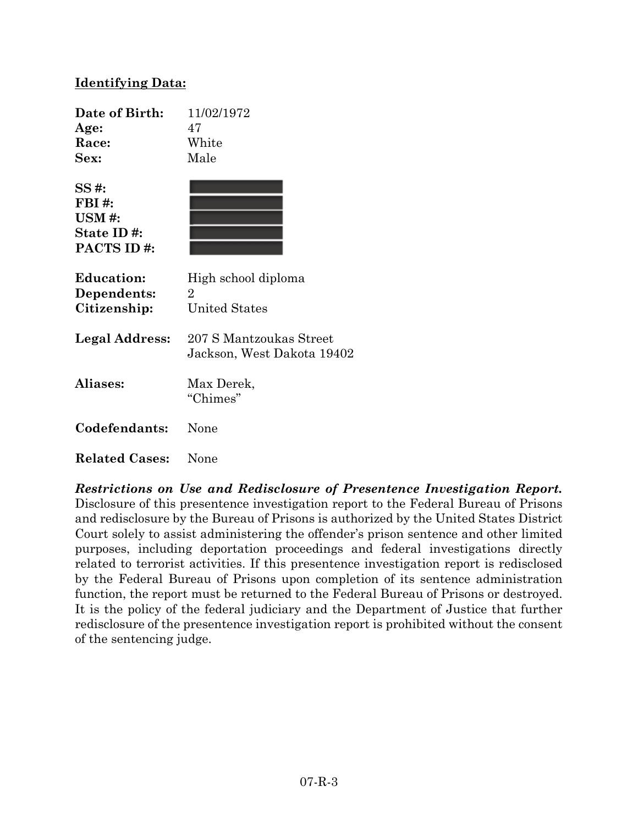# **Identifying Data:**

| Date of Birth:<br>Age:<br>Race:<br>Sex:                        | 11/02/1972<br>47<br>White<br>Male                     |
|----------------------------------------------------------------|-------------------------------------------------------|
| SS #:<br>$FBI \#$ :<br>$USM \#$ :<br>State ID #:<br>PACTS ID#: |                                                       |
| <b>Education:</b><br>Dependents:<br>Citizenship:               | High school diploma<br>2<br><b>United States</b>      |
| Legal Address:                                                 | 207 S Mantzoukas Street<br>Jackson, West Dakota 19402 |
| Aliases:                                                       | Max Derek,<br>"Chimes"                                |
| Codefendants:                                                  | None                                                  |
| <b>Related Cases:</b>                                          | None                                                  |

*Restrictions on Use and Redisclosure of Presentence Investigation Report.*  Disclosure of this presentence investigation report to the Federal Bureau of Prisons and redisclosure by the Bureau of Prisons is authorized by the United States District Court solely to assist administering the offender's prison sentence and other limited purposes, including deportation proceedings and federal investigations directly related to terrorist activities. If this presentence investigation report is redisclosed by the Federal Bureau of Prisons upon completion of its sentence administration function, the report must be returned to the Federal Bureau of Prisons or destroyed. It is the policy of the federal judiciary and the Department of Justice that further redisclosure of the presentence investigation report is prohibited without the consent of the sentencing judge.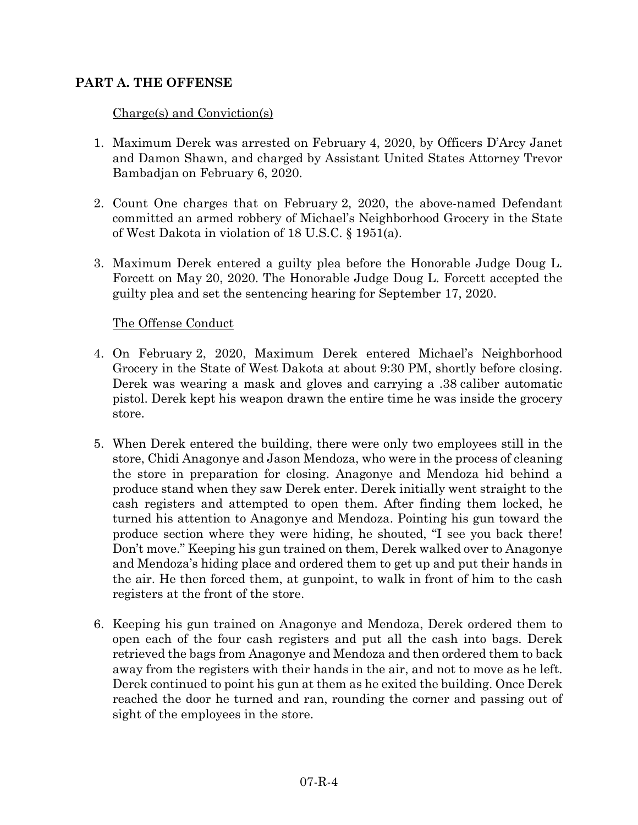# **PART A. THE OFFENSE**

## Charge(s) and Conviction(s)

- 1. Maximum Derek was arrested on February 4, 2020, by Officers D'Arcy Janet and Damon Shawn, and charged by Assistant United States Attorney Trevor Bambadjan on February 6, 2020.
- 2. Count One charges that on February 2, 2020, the above-named Defendant committed an armed robbery of Michael's Neighborhood Grocery in the State of West Dakota in violation of 18 U.S.C. § 1951(a).
- 3. Maximum Derek entered a guilty plea before the Honorable Judge Doug L. Forcett on May 20, 2020. The Honorable Judge Doug L. Forcett accepted the guilty plea and set the sentencing hearing for September 17, 2020.

### The Offense Conduct

- 4. On February 2, 2020, Maximum Derek entered Michael's Neighborhood Grocery in the State of West Dakota at about 9:30 PM, shortly before closing. Derek was wearing a mask and gloves and carrying a .38 caliber automatic pistol. Derek kept his weapon drawn the entire time he was inside the grocery store.
- 5. When Derek entered the building, there were only two employees still in the store, Chidi Anagonye and Jason Mendoza, who were in the process of cleaning the store in preparation for closing. Anagonye and Mendoza hid behind a produce stand when they saw Derek enter. Derek initially went straight to the cash registers and attempted to open them. After finding them locked, he turned his attention to Anagonye and Mendoza. Pointing his gun toward the produce section where they were hiding, he shouted, "I see you back there! Don't move." Keeping his gun trained on them, Derek walked over to Anagonye and Mendoza's hiding place and ordered them to get up and put their hands in the air. He then forced them, at gunpoint, to walk in front of him to the cash registers at the front of the store.
- 6. Keeping his gun trained on Anagonye and Mendoza, Derek ordered them to open each of the four cash registers and put all the cash into bags. Derek retrieved the bags from Anagonye and Mendoza and then ordered them to back away from the registers with their hands in the air, and not to move as he left. Derek continued to point his gun at them as he exited the building. Once Derek reached the door he turned and ran, rounding the corner and passing out of sight of the employees in the store.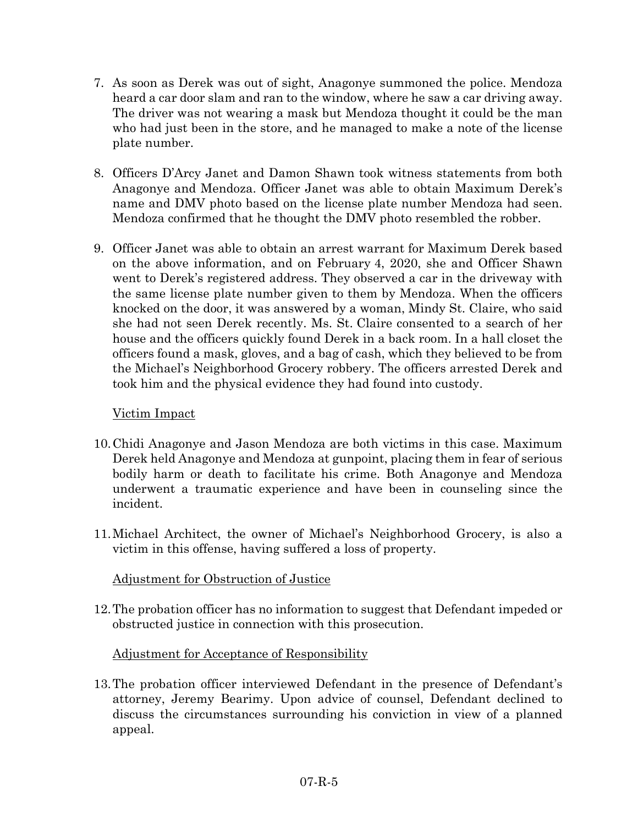- 7. As soon as Derek was out of sight, Anagonye summoned the police. Mendoza heard a car door slam and ran to the window, where he saw a car driving away. The driver was not wearing a mask but Mendoza thought it could be the man who had just been in the store, and he managed to make a note of the license plate number.
- 8. Officers D'Arcy Janet and Damon Shawn took witness statements from both Anagonye and Mendoza. Officer Janet was able to obtain Maximum Derek's name and DMV photo based on the license plate number Mendoza had seen. Mendoza confirmed that he thought the DMV photo resembled the robber.
- 9. Officer Janet was able to obtain an arrest warrant for Maximum Derek based on the above information, and on February 4, 2020, she and Officer Shawn went to Derek's registered address. They observed a car in the driveway with the same license plate number given to them by Mendoza. When the officers knocked on the door, it was answered by a woman, Mindy St. Claire, who said she had not seen Derek recently. Ms. St. Claire consented to a search of her house and the officers quickly found Derek in a back room. In a hall closet the officers found a mask, gloves, and a bag of cash, which they believed to be from the Michael's Neighborhood Grocery robbery. The officers arrested Derek and took him and the physical evidence they had found into custody.

## Victim Impact

- 10.Chidi Anagonye and Jason Mendoza are both victims in this case. Maximum Derek held Anagonye and Mendoza at gunpoint, placing them in fear of serious bodily harm or death to facilitate his crime. Both Anagonye and Mendoza underwent a traumatic experience and have been in counseling since the incident.
- 11.Michael Architect, the owner of Michael's Neighborhood Grocery, is also a victim in this offense, having suffered a loss of property.

# Adjustment for Obstruction of Justice

12.The probation officer has no information to suggest that Defendant impeded or obstructed justice in connection with this prosecution.

# Adjustment for Acceptance of Responsibility

13.The probation officer interviewed Defendant in the presence of Defendant's attorney, Jeremy Bearimy. Upon advice of counsel, Defendant declined to discuss the circumstances surrounding his conviction in view of a planned appeal.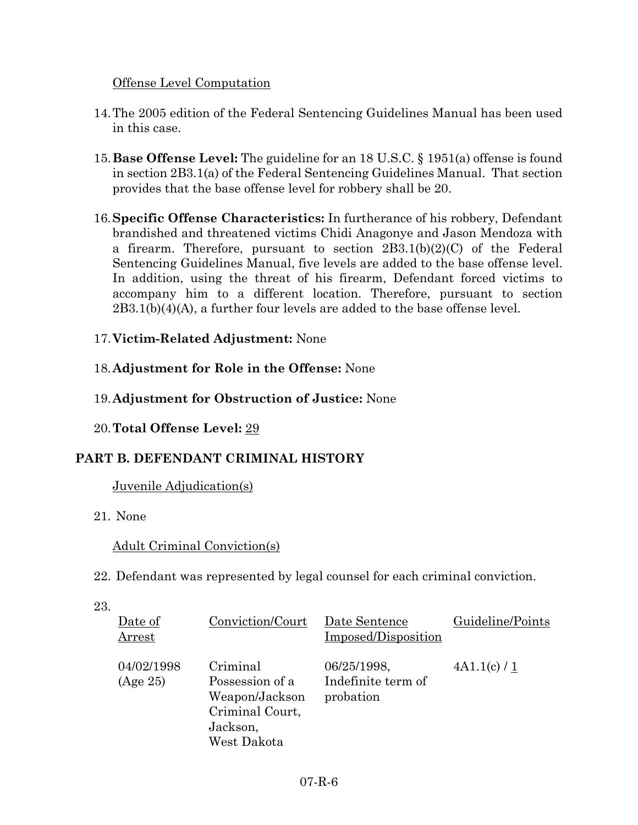## Offense Level Computation

- 14.The 2005 edition of the Federal Sentencing Guidelines Manual has been used in this case.
- 15.**Base Offense Level:** The guideline for an 18 U.S.C. § 1951(a) offense is found in section 2B3.1(a) of the Federal Sentencing Guidelines Manual. That section provides that the base offense level for robbery shall be 20.
- 16.**Specific Offense Characteristics:** In furtherance of his robbery, Defendant brandished and threatened victims Chidi Anagonye and Jason Mendoza with a firearm. Therefore, pursuant to section 2B3.1(b)(2)(C) of the Federal Sentencing Guidelines Manual, five levels are added to the base offense level. In addition, using the threat of his firearm, Defendant forced victims to accompany him to a different location. Therefore, pursuant to section 2B3.1(b)(4)(A), a further four levels are added to the base offense level.
- 17.**Victim-Related Adjustment:** None
- 18.**Adjustment for Role in the Offense:** None
- 19.**Adjustment for Obstruction of Justice:** None
- 20.**Total Offense Level:** 29

# **PART B. DEFENDANT CRIMINAL HISTORY**

Juvenile Adjudication(s)

21. None

Adult Criminal Conviction(s)

- 22. Defendant was represented by legal counsel for each criminal conviction.
- 23.

| Date of<br>$\operatorname{Arrest}$ | Conviction/Court                                                                            | Date Sentence<br>Imposed/Disposition           | Guideline/Points |
|------------------------------------|---------------------------------------------------------------------------------------------|------------------------------------------------|------------------|
| 04/02/1998<br>(Age 25)             | Criminal<br>Possession of a<br>Weapon/Jackson<br>Criminal Court,<br>Jackson,<br>West Dakota | 06/25/1998,<br>Indefinite term of<br>probation | 4A1.1(c) / 1     |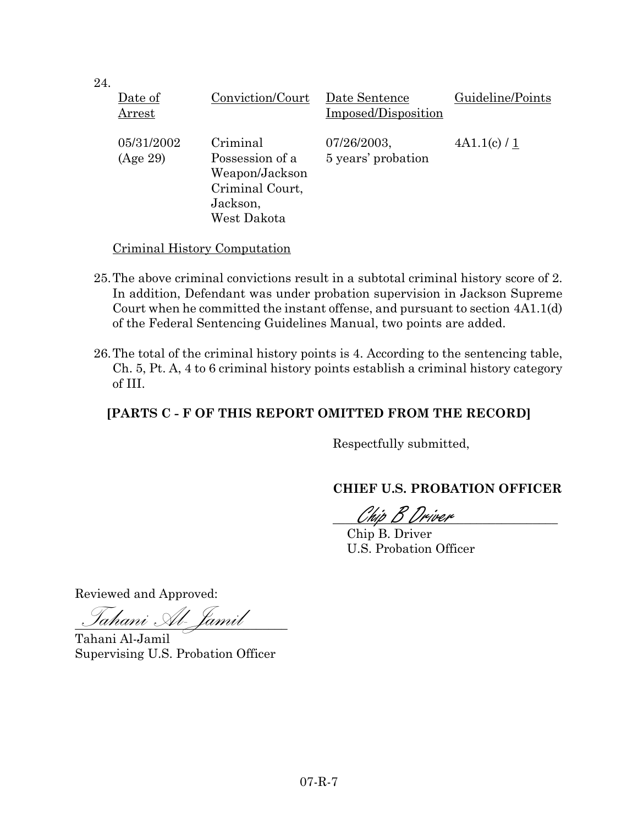| 24. | Date of<br>Arrest      | Conviction/Court                                                                            | Date Sentence<br>Imposed/Disposition | Guideline/Points |
|-----|------------------------|---------------------------------------------------------------------------------------------|--------------------------------------|------------------|
|     | 05/31/2002<br>(Age 29) | Criminal<br>Possession of a<br>Weapon/Jackson<br>Criminal Court,<br>Jackson,<br>West Dakota | 07/26/2003,<br>5 years' probation    | 4A1.1(c) / 1     |

Criminal History Computation

- 25.The above criminal convictions result in a subtotal criminal history score of 2. In addition, Defendant was under probation supervision in Jackson Supreme Court when he committed the instant offense, and pursuant to section 4A1.1(d) of the Federal Sentencing Guidelines Manual, two points are added.
- 26.The total of the criminal history points is 4. According to the sentencing table, Ch. 5, Pt. A, 4 to 6 criminal history points establish a criminal history category of III.

**[PARTS C - F OF THIS REPORT OMITTED FROM THE RECORD]**

Respectfully submitted,

**CHIEF U.S. PROBATION OFFICER**

\_\_\_\_\_\_\_\_\_\_\_\_\_\_\_\_\_\_\_\_\_\_\_\_\_\_\_\_\_\_\_\_\_\_\_\_ Chip B Driver

Chip B. Driver U.S. Probation Officer

Reviewed and Approved:

\_\_\_\_\_\_\_\_\_\_\_\_\_\_\_\_\_\_\_\_\_\_\_\_\_\_\_\_\_\_\_\_\_\_ Tahani Al-Jamil

Tahani Al-Jamil Supervising U.S. Probation Officer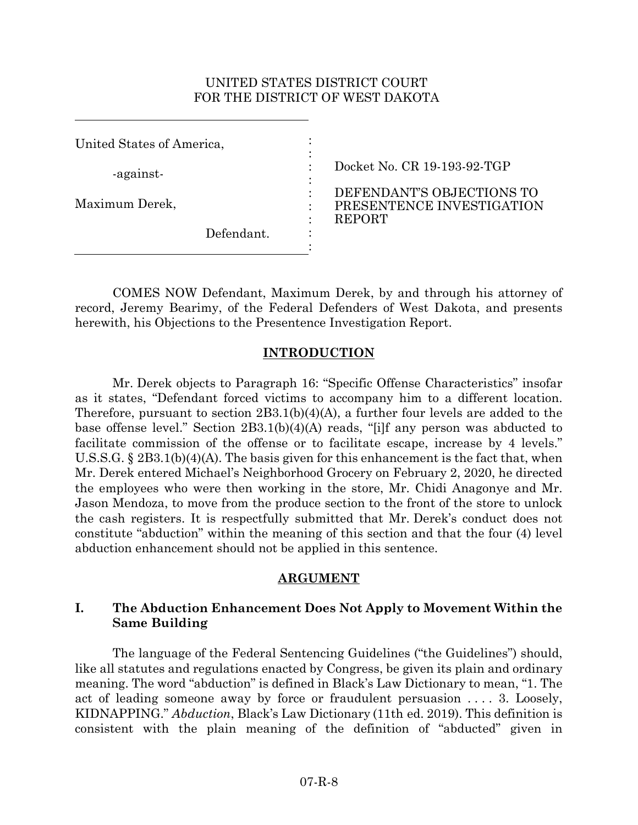#### UNITED STATES DISTRICT COURT FOR THE DISTRICT OF WEST DAKOTA

: : : : : : : : :

United States of America,

-against-

Maximum Derek,

Defendant.

Docket No. CR 19-193-92-TGP

DEFENDANT'S OBJECTIONS TO PRESENTENCE INVESTIGATION REPORT

COMES NOW Defendant, Maximum Derek, by and through his attorney of record, Jeremy Bearimy, of the Federal Defenders of West Dakota, and presents herewith, his Objections to the Presentence Investigation Report.

# **INTRODUCTION**

Mr. Derek objects to Paragraph 16: "Specific Offense Characteristics" insofar as it states, "Defendant forced victims to accompany him to a different location. Therefore, pursuant to section 2B3.1(b)(4)(A), a further four levels are added to the base offense level." Section 2B3.1(b)(4)(A) reads, "[i]f any person was abducted to facilitate commission of the offense or to facilitate escape, increase by 4 levels." U.S.S.G. § 2B3.1(b)(4)(A). The basis given for this enhancement is the fact that, when Mr. Derek entered Michael's Neighborhood Grocery on February 2, 2020, he directed the employees who were then working in the store, Mr. Chidi Anagonye and Mr. Jason Mendoza, to move from the produce section to the front of the store to unlock the cash registers. It is respectfully submitted that Mr. Derek's conduct does not constitute "abduction" within the meaning of this section and that the four (4) level abduction enhancement should not be applied in this sentence.

### **ARGUMENT**

# **I. The Abduction Enhancement Does Not Apply to Movement Within the Same Building**

The language of the Federal Sentencing Guidelines ("the Guidelines") should, like all statutes and regulations enacted by Congress, be given its plain and ordinary meaning. The word "abduction" is defined in Black's Law Dictionary to mean, "1. The act of leading someone away by force or fraudulent persuasion . . . . 3. Loosely, KIDNAPPING." *Abduction*, Black's Law Dictionary (11th ed. 2019). This definition is consistent with the plain meaning of the definition of "abducted" given in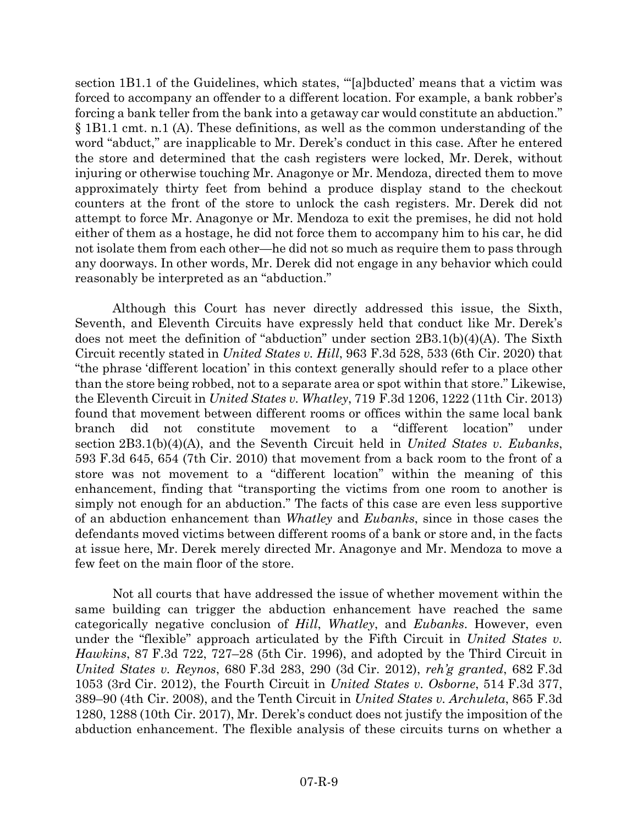section 1B1.1 of the Guidelines, which states, "'[a]bducted' means that a victim was forced to accompany an offender to a different location. For example, a bank robber's forcing a bank teller from the bank into a getaway car would constitute an abduction." § 1B1.1 cmt. n.1 (A). These definitions, as well as the common understanding of the word "abduct," are inapplicable to Mr. Derek's conduct in this case. After he entered the store and determined that the cash registers were locked, Mr. Derek, without injuring or otherwise touching Mr. Anagonye or Mr. Mendoza, directed them to move approximately thirty feet from behind a produce display stand to the checkout counters at the front of the store to unlock the cash registers. Mr. Derek did not attempt to force Mr. Anagonye or Mr. Mendoza to exit the premises, he did not hold either of them as a hostage, he did not force them to accompany him to his car, he did not isolate them from each other—he did not so much as require them to pass through any doorways. In other words, Mr. Derek did not engage in any behavior which could reasonably be interpreted as an "abduction."

Although this Court has never directly addressed this issue, the Sixth, Seventh, and Eleventh Circuits have expressly held that conduct like Mr. Derek's does not meet the definition of "abduction" under section 2B3.1(b)(4)(A). The Sixth Circuit recently stated in *United States v. Hill*, 963 F.3d 528, 533 (6th Cir. 2020) that "the phrase 'different location' in this context generally should refer to a place other than the store being robbed, not to a separate area or spot within that store." Likewise, the Eleventh Circuit in *United States v. Whatley*, 719 F.3d 1206, 1222 (11th Cir. 2013) found that movement between different rooms or offices within the same local bank branch did not constitute movement to a "different location" under section 2B3.1(b)(4)(A), and the Seventh Circuit held in *United States v. Eubanks*, 593 F.3d 645, 654 (7th Cir. 2010) that movement from a back room to the front of a store was not movement to a "different location" within the meaning of this enhancement, finding that "transporting the victims from one room to another is simply not enough for an abduction." The facts of this case are even less supportive of an abduction enhancement than *Whatley* and *Eubanks*, since in those cases the defendants moved victims between different rooms of a bank or store and, in the facts at issue here, Mr. Derek merely directed Mr. Anagonye and Mr. Mendoza to move a few feet on the main floor of the store.

Not all courts that have addressed the issue of whether movement within the same building can trigger the abduction enhancement have reached the same categorically negative conclusion of *Hill*, *Whatley*, and *Eubanks*. However, even under the "flexible" approach articulated by the Fifth Circuit in *United States v. Hawkins*, 87 F.3d 722, 727–28 (5th Cir. 1996), and adopted by the Third Circuit in *United States v. Reynos*, 680 F.3d 283, 290 (3d Cir. 2012), *reh'g granted*, 682 F.3d 1053 (3rd Cir. 2012), the Fourth Circuit in *United States v. Osborne*, 514 F.3d 377, 389–90 (4th Cir. 2008), and the Tenth Circuit in *United States v. Archuleta*, 865 F.3d 1280, 1288 (10th Cir. 2017), Mr. Derek's conduct does not justify the imposition of the abduction enhancement. The flexible analysis of these circuits turns on whether a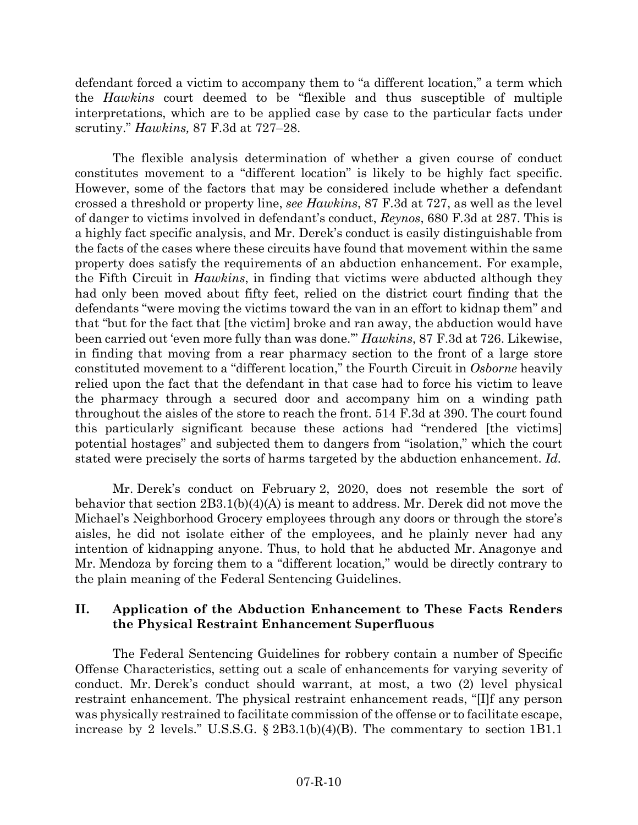defendant forced a victim to accompany them to "a different location," a term which the *Hawkins* court deemed to be "flexible and thus susceptible of multiple interpretations, which are to be applied case by case to the particular facts under scrutiny." *Hawkins,* 87 F.3d at 727–28.

The flexible analysis determination of whether a given course of conduct constitutes movement to a "different location" is likely to be highly fact specific. However, some of the factors that may be considered include whether a defendant crossed a threshold or property line, *see Hawkins*, 87 F.3d at 727, as well as the level of danger to victims involved in defendant's conduct, *Reynos*, 680 F.3d at 287. This is a highly fact specific analysis, and Mr. Derek's conduct is easily distinguishable from the facts of the cases where these circuits have found that movement within the same property does satisfy the requirements of an abduction enhancement. For example, the Fifth Circuit in *Hawkins*, in finding that victims were abducted although they had only been moved about fifty feet, relied on the district court finding that the defendants "were moving the victims toward the van in an effort to kidnap them" and that "but for the fact that [the victim] broke and ran away, the abduction would have been carried out 'even more fully than was done.'" *Hawkins*, 87 F.3d at 726. Likewise, in finding that moving from a rear pharmacy section to the front of a large store constituted movement to a "different location," the Fourth Circuit in *Osborne* heavily relied upon the fact that the defendant in that case had to force his victim to leave the pharmacy through a secured door and accompany him on a winding path throughout the aisles of the store to reach the front. 514 F.3d at 390. The court found this particularly significant because these actions had "rendered [the victims] potential hostages" and subjected them to dangers from "isolation," which the court stated were precisely the sorts of harms targeted by the abduction enhancement. *Id.*

Mr. Derek's conduct on February 2, 2020, does not resemble the sort of behavior that section 2B3.1(b)(4)(A) is meant to address. Mr. Derek did not move the Michael's Neighborhood Grocery employees through any doors or through the store's aisles, he did not isolate either of the employees, and he plainly never had any intention of kidnapping anyone. Thus, to hold that he abducted Mr. Anagonye and Mr. Mendoza by forcing them to a "different location," would be directly contrary to the plain meaning of the Federal Sentencing Guidelines.

### **II. Application of the Abduction Enhancement to These Facts Renders the Physical Restraint Enhancement Superfluous**

The Federal Sentencing Guidelines for robbery contain a number of Specific Offense Characteristics, setting out a scale of enhancements for varying severity of conduct. Mr. Derek's conduct should warrant, at most, a two (2) level physical restraint enhancement. The physical restraint enhancement reads, "[I]f any person was physically restrained to facilitate commission of the offense or to facilitate escape, increase by 2 levels." U.S.S.G. § 2B3.1(b)(4)(B). The commentary to section 1B1.1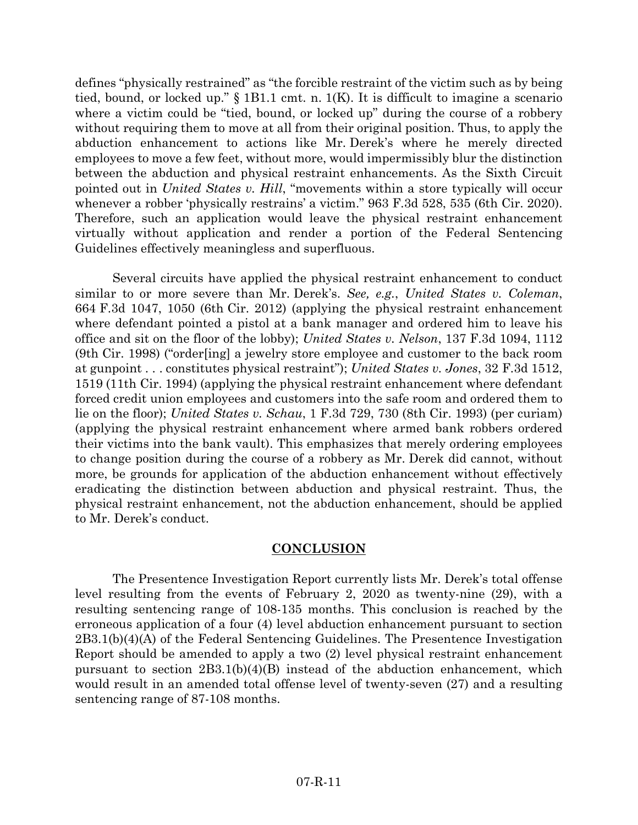defines "physically restrained" as "the forcible restraint of the victim such as by being tied, bound, or locked up." § 1B1.1 cmt. n. 1(K). It is difficult to imagine a scenario where a victim could be "tied, bound, or locked up" during the course of a robbery without requiring them to move at all from their original position. Thus, to apply the abduction enhancement to actions like Mr. Derek's where he merely directed employees to move a few feet, without more, would impermissibly blur the distinction between the abduction and physical restraint enhancements. As the Sixth Circuit pointed out in *United States v. Hill*, "movements within a store typically will occur whenever a robber 'physically restrains' a victim." 963 F.3d 528, 535 (6th Cir. 2020). Therefore, such an application would leave the physical restraint enhancement virtually without application and render a portion of the Federal Sentencing Guidelines effectively meaningless and superfluous.

Several circuits have applied the physical restraint enhancement to conduct similar to or more severe than Mr. Derek's. *See, e.g.*, *United States v. Coleman*, 664 F.3d 1047, 1050 (6th Cir. 2012) (applying the physical restraint enhancement where defendant pointed a pistol at a bank manager and ordered him to leave his office and sit on the floor of the lobby); *United States v. Nelson*, 137 F.3d 1094, 1112 (9th Cir. 1998) ("order[ing] a jewelry store employee and customer to the back room at gunpoint . . . constitutes physical restraint"); *United States v. Jones*, 32 F.3d 1512, 1519 (11th Cir. 1994) (applying the physical restraint enhancement where defendant forced credit union employees and customers into the safe room and ordered them to lie on the floor); *United States v. Schau*, 1 F.3d 729, 730 (8th Cir. 1993) (per curiam) (applying the physical restraint enhancement where armed bank robbers ordered their victims into the bank vault). This emphasizes that merely ordering employees to change position during the course of a robbery as Mr. Derek did cannot, without more, be grounds for application of the abduction enhancement without effectively eradicating the distinction between abduction and physical restraint. Thus, the physical restraint enhancement, not the abduction enhancement, should be applied to Mr. Derek's conduct.

#### **CONCLUSION**

The Presentence Investigation Report currently lists Mr. Derek's total offense level resulting from the events of February 2, 2020 as twenty-nine (29), with a resulting sentencing range of 108-135 months. This conclusion is reached by the erroneous application of a four (4) level abduction enhancement pursuant to section 2B3.1(b)(4)(A) of the Federal Sentencing Guidelines. The Presentence Investigation Report should be amended to apply a two (2) level physical restraint enhancement pursuant to section 2B3.1(b)(4)(B) instead of the abduction enhancement, which would result in an amended total offense level of twenty-seven (27) and a resulting sentencing range of 87-108 months.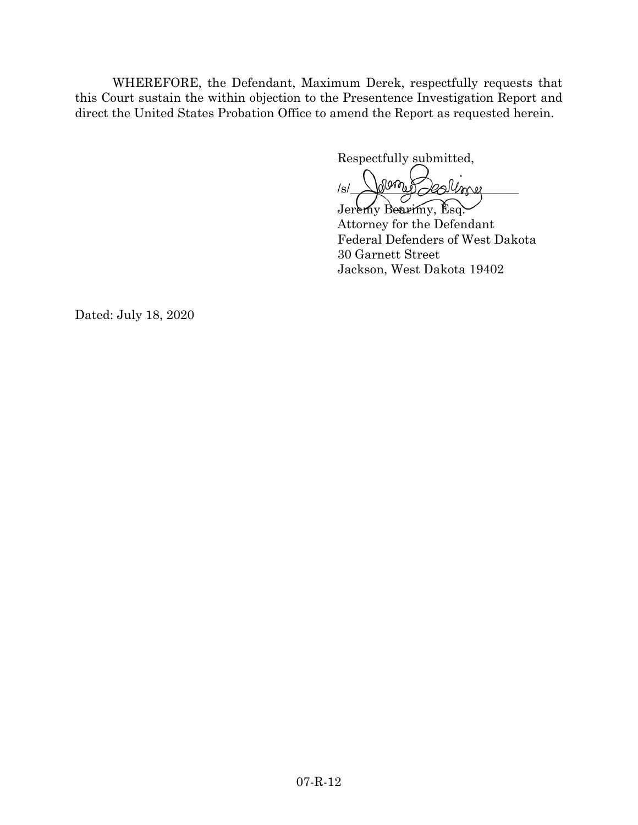WHEREFORE, the Defendant, Maximum Derek, respectfully requests that this Court sustain the within objection to the Presentence Investigation Report and direct the United States Probation Office to amend the Report as requested herein.

Respectfully submitted,

 $/s/$  Journe Deslime

Jeremy Bearimy, Esq. Attorney for the Defendant Federal Defenders of West Dakota 30 Garnett Street Jackson, West Dakota 19402

Dated: July 18, 2020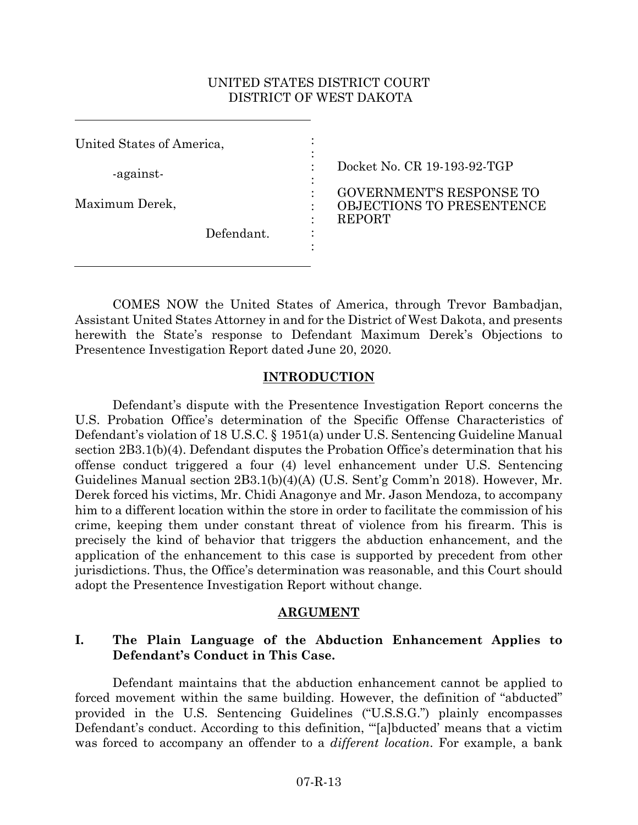#### UNITED STATES DISTRICT COURT DISTRICT OF WEST DAKOTA

: : : : : : : : :

United States of America,

-against-

Maximum Derek,

Defendant.

Docket No. CR 19-193-92-TGP

GOVERNMENT'S RESPONSE TO OBJECTIONS TO PRESENTENCE REPORT

COMES NOW the United States of America, through Trevor Bambadjan, Assistant United States Attorney in and for the District of West Dakota, and presents herewith the State's response to Defendant Maximum Derek's Objections to Presentence Investigation Report dated June 20, 2020.

## **INTRODUCTION**

Defendant's dispute with the Presentence Investigation Report concerns the U.S. Probation Office's determination of the Specific Offense Characteristics of Defendant's violation of 18 U.S.C. § 1951(a) under U.S. Sentencing Guideline Manual section 2B3.1(b)(4). Defendant disputes the Probation Office's determination that his offense conduct triggered a four (4) level enhancement under U.S. Sentencing Guidelines Manual section 2B3.1(b)(4)(A) (U.S. Sent'g Comm'n 2018). However, Mr. Derek forced his victims, Mr. Chidi Anagonye and Mr. Jason Mendoza, to accompany him to a different location within the store in order to facilitate the commission of his crime, keeping them under constant threat of violence from his firearm. This is precisely the kind of behavior that triggers the abduction enhancement, and the application of the enhancement to this case is supported by precedent from other jurisdictions. Thus, the Office's determination was reasonable, and this Court should adopt the Presentence Investigation Report without change.

### **ARGUMENT**

# **I. The Plain Language of the Abduction Enhancement Applies to Defendant's Conduct in This Case.**

Defendant maintains that the abduction enhancement cannot be applied to forced movement within the same building. However, the definition of "abducted" provided in the U.S. Sentencing Guidelines ("U.S.S.G.") plainly encompasses Defendant's conduct. According to this definition, "'[a]bducted' means that a victim was forced to accompany an offender to a *different location*. For example, a bank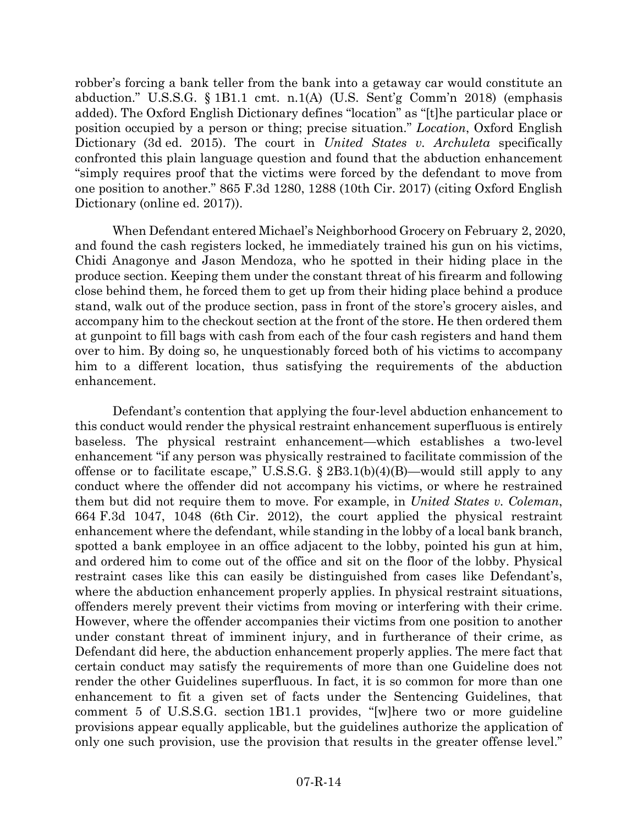robber's forcing a bank teller from the bank into a getaway car would constitute an abduction." U.S.S.G. § 1B1.1 cmt. n.1(A) (U.S. Sent'g Comm'n 2018) (emphasis added). The Oxford English Dictionary defines "location" as "[t]he particular place or position occupied by a person or thing; precise situation." *Location*, Oxford English Dictionary (3d ed. 2015). The court in *United States v. Archuleta* specifically confronted this plain language question and found that the abduction enhancement "simply requires proof that the victims were forced by the defendant to move from one position to another." 865 F.3d 1280, 1288 (10th Cir. 2017) (citing Oxford English Dictionary (online ed. 2017).

When Defendant entered Michael's Neighborhood Grocery on February 2, 2020, and found the cash registers locked, he immediately trained his gun on his victims, Chidi Anagonye and Jason Mendoza, who he spotted in their hiding place in the produce section. Keeping them under the constant threat of his firearm and following close behind them, he forced them to get up from their hiding place behind a produce stand, walk out of the produce section, pass in front of the store's grocery aisles, and accompany him to the checkout section at the front of the store. He then ordered them at gunpoint to fill bags with cash from each of the four cash registers and hand them over to him. By doing so, he unquestionably forced both of his victims to accompany him to a different location, thus satisfying the requirements of the abduction enhancement.

Defendant's contention that applying the four-level abduction enhancement to this conduct would render the physical restraint enhancement superfluous is entirely baseless. The physical restraint enhancement—which establishes a two-level enhancement "if any person was physically restrained to facilitate commission of the offense or to facilitate escape," U.S.S.G.  $\S 2B3.1(b)(4)(B)$ —would still apply to any conduct where the offender did not accompany his victims, or where he restrained them but did not require them to move. For example, in *United States v. Coleman*, 664 F.3d 1047, 1048 (6th Cir. 2012), the court applied the physical restraint enhancement where the defendant, while standing in the lobby of a local bank branch, spotted a bank employee in an office adjacent to the lobby, pointed his gun at him, and ordered him to come out of the office and sit on the floor of the lobby. Physical restraint cases like this can easily be distinguished from cases like Defendant's, where the abduction enhancement properly applies. In physical restraint situations, offenders merely prevent their victims from moving or interfering with their crime. However, where the offender accompanies their victims from one position to another under constant threat of imminent injury, and in furtherance of their crime, as Defendant did here, the abduction enhancement properly applies. The mere fact that certain conduct may satisfy the requirements of more than one Guideline does not render the other Guidelines superfluous. In fact, it is so common for more than one enhancement to fit a given set of facts under the Sentencing Guidelines, that comment 5 of U.S.S.G. section 1B1.1 provides, "[w]here two or more guideline provisions appear equally applicable, but the guidelines authorize the application of only one such provision, use the provision that results in the greater offense level."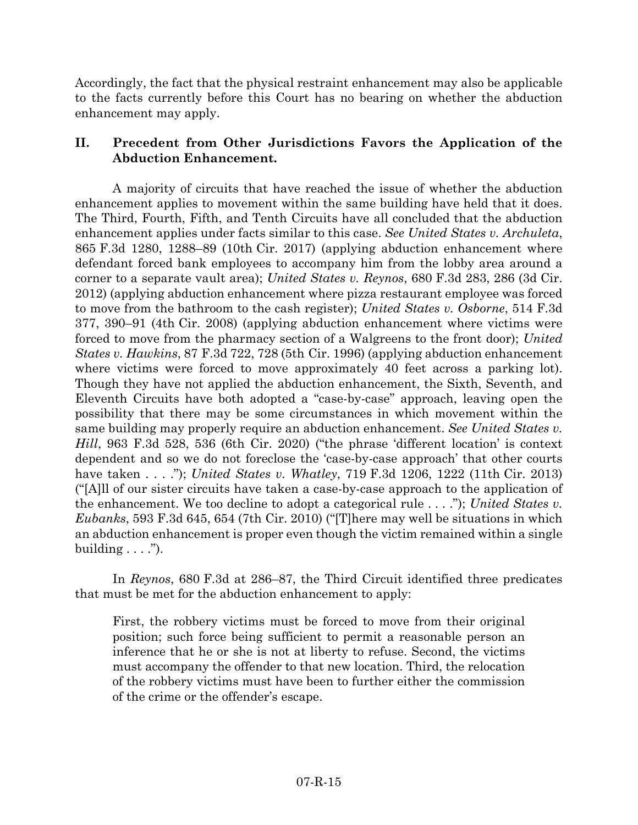Accordingly, the fact that the physical restraint enhancement may also be applicable to the facts currently before this Court has no bearing on whether the abduction enhancement may apply.

# **II. Precedent from Other Jurisdictions Favors the Application of the Abduction Enhancement.**

A majority of circuits that have reached the issue of whether the abduction enhancement applies to movement within the same building have held that it does. The Third, Fourth, Fifth, and Tenth Circuits have all concluded that the abduction enhancement applies under facts similar to this case. *See United States v. Archuleta*, 865 F.3d 1280, 1288–89 (10th Cir. 2017) (applying abduction enhancement where defendant forced bank employees to accompany him from the lobby area around a corner to a separate vault area); *United States v. Reynos*, 680 F.3d 283, 286 (3d Cir. 2012) (applying abduction enhancement where pizza restaurant employee was forced to move from the bathroom to the cash register); *United States v. Osborne*, 514 F.3d 377, 390–91 (4th Cir. 2008) (applying abduction enhancement where victims were forced to move from the pharmacy section of a Walgreens to the front door); *United States v. Hawkins*, 87 F.3d 722, 728 (5th Cir. 1996) (applying abduction enhancement where victims were forced to move approximately 40 feet across a parking lot). Though they have not applied the abduction enhancement, the Sixth, Seventh, and Eleventh Circuits have both adopted a "case-by-case" approach, leaving open the possibility that there may be some circumstances in which movement within the same building may properly require an abduction enhancement. *See United States v. Hill*, 963 F.3d 528, 536 (6th Cir. 2020) ("the phrase 'different location' is context dependent and so we do not foreclose the 'case-by-case approach' that other courts have taken . . . ."); *United States v. Whatley*, 719 F.3d 1206, 1222 (11th Cir. 2013) ("[A]ll of our sister circuits have taken a case-by-case approach to the application of the enhancement. We too decline to adopt a categorical rule . . . ."); *United States v. Eubanks*, 593 F.3d 645, 654 (7th Cir. 2010) ("[T]here may well be situations in which an abduction enhancement is proper even though the victim remained within a single building  $\dots$ .").

In *Reynos*, 680 F.3d at 286–87, the Third Circuit identified three predicates that must be met for the abduction enhancement to apply:

First, the robbery victims must be forced to move from their original position; such force being sufficient to permit a reasonable person an inference that he or she is not at liberty to refuse. Second, the victims must accompany the offender to that new location. Third, the relocation of the robbery victims must have been to further either the commission of the crime or the offender's escape.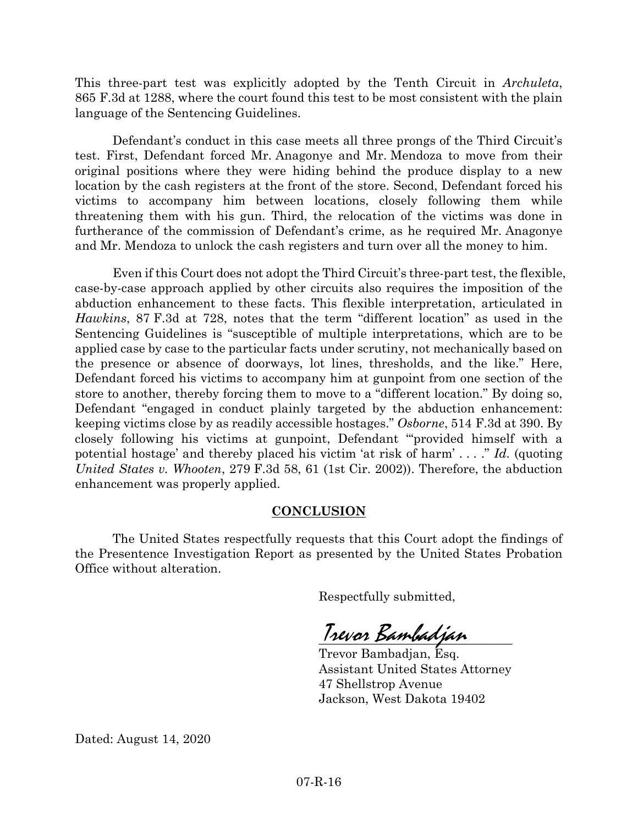This three-part test was explicitly adopted by the Tenth Circuit in *Archuleta*, 865 F.3d at 1288, where the court found this test to be most consistent with the plain language of the Sentencing Guidelines.

Defendant's conduct in this case meets all three prongs of the Third Circuit's test. First, Defendant forced Mr. Anagonye and Mr. Mendoza to move from their original positions where they were hiding behind the produce display to a new location by the cash registers at the front of the store. Second, Defendant forced his victims to accompany him between locations, closely following them while threatening them with his gun. Third, the relocation of the victims was done in furtherance of the commission of Defendant's crime, as he required Mr. Anagonye and Mr. Mendoza to unlock the cash registers and turn over all the money to him.

Even if this Court does not adopt the Third Circuit's three-part test, the flexible, case-by-case approach applied by other circuits also requires the imposition of the abduction enhancement to these facts. This flexible interpretation, articulated in *Hawkins*, 87 F.3d at 728, notes that the term "different location" as used in the Sentencing Guidelines is "susceptible of multiple interpretations, which are to be applied case by case to the particular facts under scrutiny, not mechanically based on the presence or absence of doorways, lot lines, thresholds, and the like." Here, Defendant forced his victims to accompany him at gunpoint from one section of the store to another, thereby forcing them to move to a "different location." By doing so, Defendant "engaged in conduct plainly targeted by the abduction enhancement: keeping victims close by as readily accessible hostages." *Osborne*, 514 F.3d at 390. By closely following his victims at gunpoint, Defendant "'provided himself with a potential hostage' and thereby placed his victim 'at risk of harm' . . . ." *Id.* (quoting *United States v. Whooten*, 279 F.3d 58, 61 (1st Cir. 2002)). Therefore, the abduction enhancement was properly applied.

### **CONCLUSION**

The United States respectfully requests that this Court adopt the findings of the Presentence Investigation Report as presented by the United States Probation Office without alteration.

Respectfully submitted,

\_\_\_\_\_\_\_\_\_\_\_\_\_\_\_\_\_\_\_\_\_\_\_\_\_\_\_\_\_\_\_ Trevor Bambadjan

Trevor Bambadjan, Esq. Assistant United States Attorney 47 Shellstrop Avenue Jackson, West Dakota 19402

Dated: August 14, 2020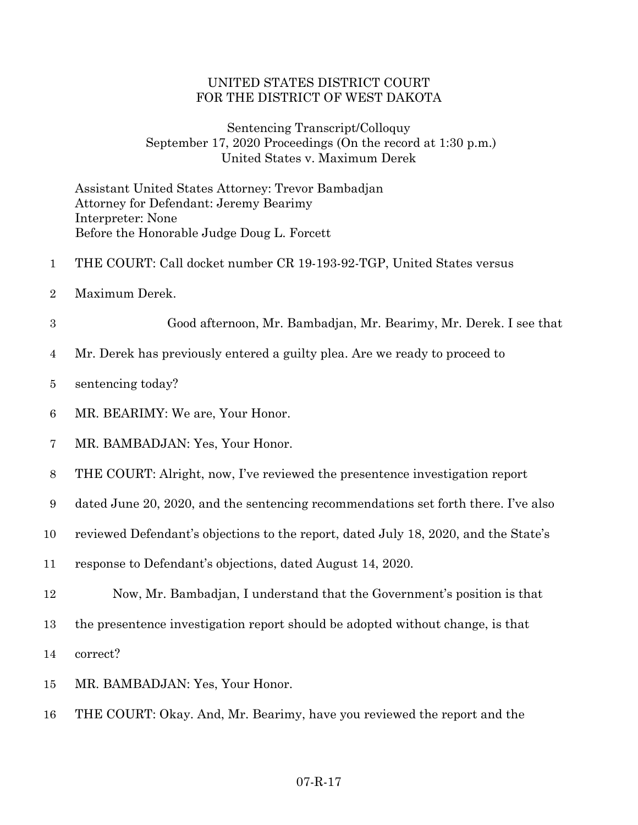#### UNITED STATES DISTRICT COURT FOR THE DISTRICT OF WEST DAKOTA

Sentencing Transcript/Colloquy September 17, 2020 Proceedings (On the record at 1:30 p.m.) United States v. Maximum Derek

Assistant United States Attorney: Trevor Bambadjan Attorney for Defendant: Jeremy Bearimy Interpreter: None Before the Honorable Judge Doug L. Forcett

- THE COURT: Call docket number CR 19-193-92-TGP, United States versus
- Maximum Derek.
- Good afternoon, Mr. Bambadjan, Mr. Bearimy, Mr. Derek. I see that
- Mr. Derek has previously entered a guilty plea. Are we ready to proceed to
- sentencing today?
- MR. BEARIMY: We are, Your Honor.
- MR. BAMBADJAN: Yes, Your Honor.
- THE COURT: Alright, now, I've reviewed the presentence investigation report
- dated June 20, 2020, and the sentencing recommendations set forth there. I've also
- reviewed Defendant's objections to the report, dated July 18, 2020, and the State's
- response to Defendant's objections, dated August 14, 2020.
- Now, Mr. Bambadjan, I understand that the Government's position is that
- the presentence investigation report should be adopted without change, is that

correct?

- MR. BAMBADJAN: Yes, Your Honor.
- THE COURT: Okay. And, Mr. Bearimy, have you reviewed the report and the

#### 07-R-17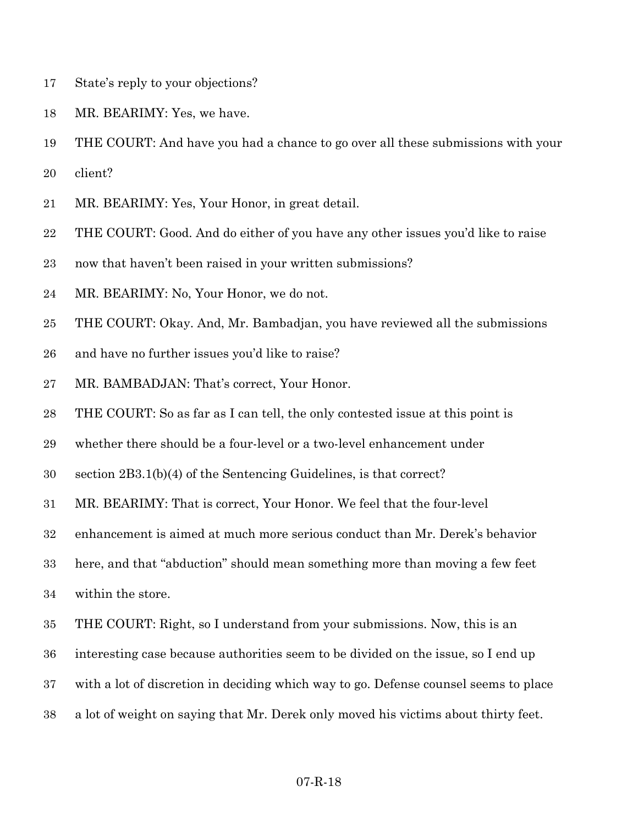- State's reply to your objections?
- MR. BEARIMY: Yes, we have.
- THE COURT: And have you had a chance to go over all these submissions with your
- client?
- MR. BEARIMY: Yes, Your Honor, in great detail.
- THE COURT: Good. And do either of you have any other issues you'd like to raise
- now that haven't been raised in your written submissions?
- MR. BEARIMY: No, Your Honor, we do not.
- THE COURT: Okay. And, Mr. Bambadjan, you have reviewed all the submissions
- and have no further issues you'd like to raise?
- MR. BAMBADJAN: That's correct, Your Honor.
- THE COURT: So as far as I can tell, the only contested issue at this point is
- whether there should be a four-level or a two-level enhancement under
- section 2B3.1(b)(4) of the Sentencing Guidelines, is that correct?
- MR. BEARIMY: That is correct, Your Honor. We feel that the four-level
- enhancement is aimed at much more serious conduct than Mr. Derek's behavior
- here, and that "abduction" should mean something more than moving a few feet
- within the store.
- THE COURT: Right, so I understand from your submissions. Now, this is an
- interesting case because authorities seem to be divided on the issue, so I end up
- with a lot of discretion in deciding which way to go. Defense counsel seems to place
- a lot of weight on saying that Mr. Derek only moved his victims about thirty feet.

#### 07-R-18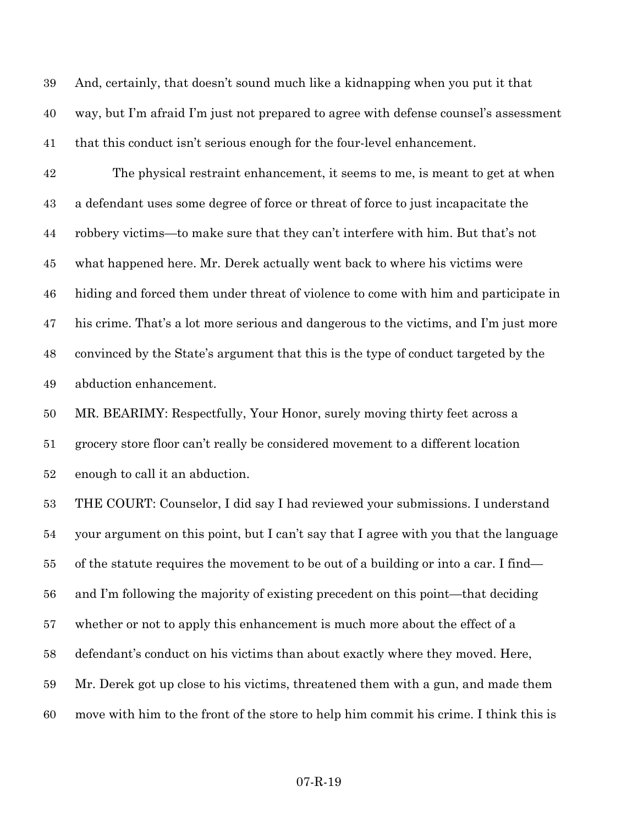And, certainly, that doesn't sound much like a kidnapping when you put it that way, but I'm afraid I'm just not prepared to agree with defense counsel's assessment that this conduct isn't serious enough for the four-level enhancement.

 The physical restraint enhancement, it seems to me, is meant to get at when a defendant uses some degree of force or threat of force to just incapacitate the robbery victims—to make sure that they can't interfere with him. But that's not what happened here. Mr. Derek actually went back to where his victims were hiding and forced them under threat of violence to come with him and participate in his crime. That's a lot more serious and dangerous to the victims, and I'm just more convinced by the State's argument that this is the type of conduct targeted by the abduction enhancement.

 MR. BEARIMY: Respectfully, Your Honor, surely moving thirty feet across a grocery store floor can't really be considered movement to a different location enough to call it an abduction.

 THE COURT: Counselor, I did say I had reviewed your submissions. I understand your argument on this point, but I can't say that I agree with you that the language of the statute requires the movement to be out of a building or into a car. I find— and I'm following the majority of existing precedent on this point—that deciding whether or not to apply this enhancement is much more about the effect of a defendant's conduct on his victims than about exactly where they moved. Here, Mr. Derek got up close to his victims, threatened them with a gun, and made them move with him to the front of the store to help him commit his crime. I think this is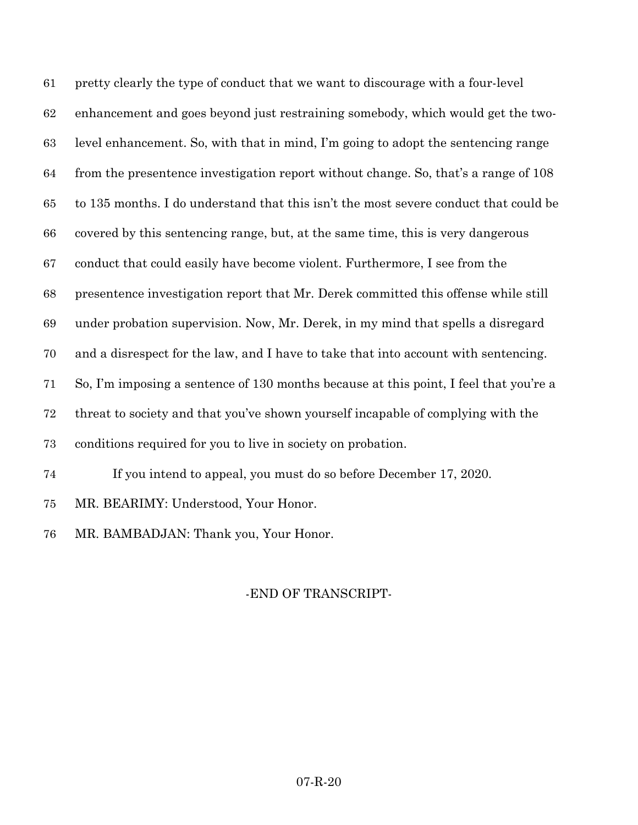pretty clearly the type of conduct that we want to discourage with a four-level enhancement and goes beyond just restraining somebody, which would get the two- level enhancement. So, with that in mind, I'm going to adopt the sentencing range from the presentence investigation report without change. So, that's a range of 108 to 135 months. I do understand that this isn't the most severe conduct that could be covered by this sentencing range, but, at the same time, this is very dangerous conduct that could easily have become violent. Furthermore, I see from the presentence investigation report that Mr. Derek committed this offense while still under probation supervision. Now, Mr. Derek, in my mind that spells a disregard and a disrespect for the law, and I have to take that into account with sentencing. So, I'm imposing a sentence of 130 months because at this point, I feel that you're a threat to society and that you've shown yourself incapable of complying with the conditions required for you to live in society on probation. If you intend to appeal, you must do so before December 17, 2020. MR. BEARIMY: Understood, Your Honor.

MR. BAMBADJAN: Thank you, Your Honor.

#### -END OF TRANSCRIPT-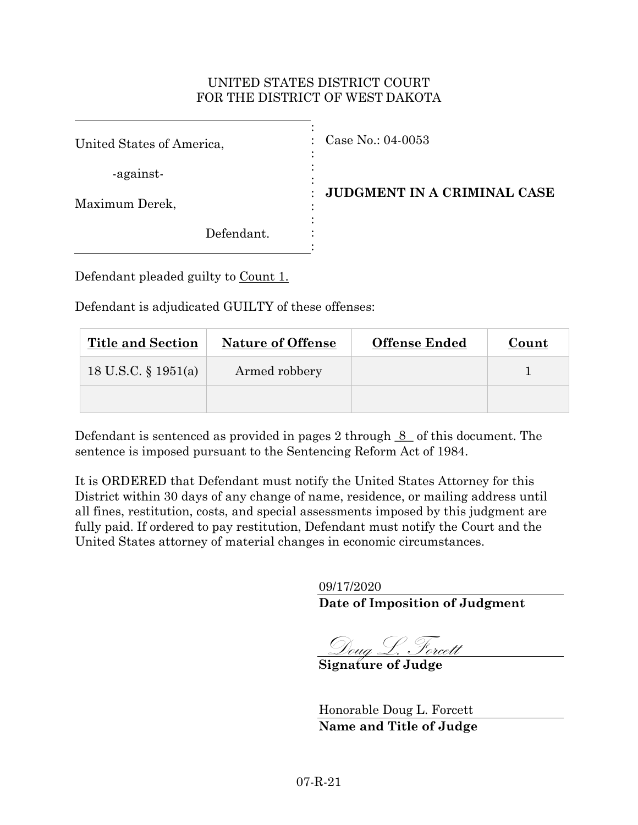# UNITED STATES DISTRICT COURT FOR THE DISTRICT OF WEST DAKOTA

| United States of America,   | Case No.: 04-0053<br>$\sim$        |
|-----------------------------|------------------------------------|
| -against-<br>Maximum Derek, | <b>JUDGMENT IN A CRIMINAL CASE</b> |
| Defendant.                  |                                    |

Defendant pleaded guilty to Count 1.

Defendant is adjudicated GUILTY of these offenses:

| <b>Title and Section</b> | <b>Nature of Offense</b> | <b>Offense Ended</b> | Count |
|--------------------------|--------------------------|----------------------|-------|
| 18 U.S.C. $\S$ 1951(a)   | Armed robbery            |                      |       |
|                          |                          |                      |       |

Defendant is sentenced as provided in pages 2 through  $8$  of this document. The sentence is imposed pursuant to the Sentencing Reform Act of 1984.

It is ORDERED that Defendant must notify the United States Attorney for this District within 30 days of any change of name, residence, or mailing address until all fines, restitution, costs, and special assessments imposed by this judgment are fully paid. If ordered to pay restitution, Defendant must notify the Court and the United States attorney of material changes in economic circumstances.

09/17/2020

**Date of Imposition of Judgment**

Doug L. Forcett

**Signature of Judge**

Honorable Doug L. Forcett **Name and Title of Judge**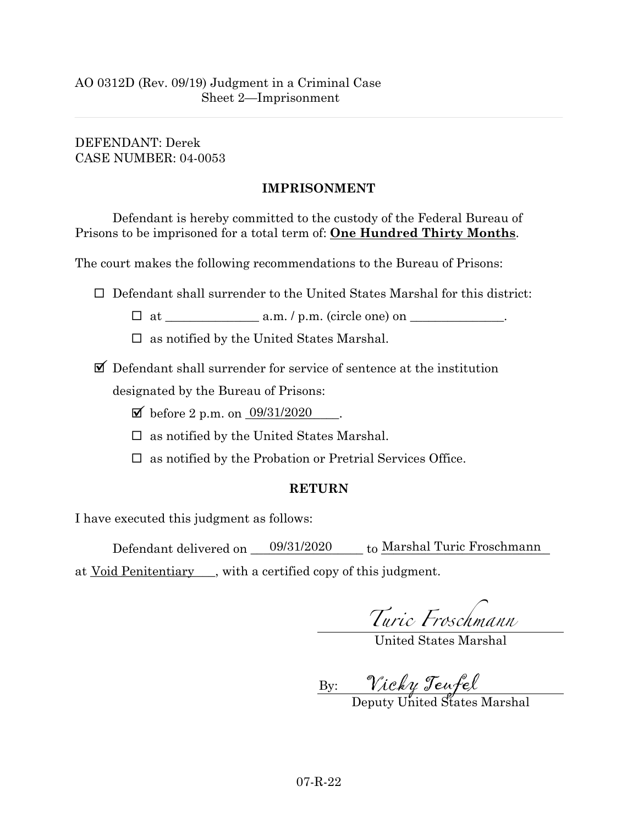DEFENDANT: Derek CASE NUMBER: 04-0053

# **IMPRISONMENT**

Defendant is hereby committed to the custody of the Federal Bureau of Prisons to be imprisoned for a total term of: **One Hundred Thirty Months**.

The court makes the following recommendations to the Bureau of Prisons:

 $\Box$  Defendant shall surrender to the United States Marshal for this district:

¨ at \_\_\_\_\_\_\_\_\_\_\_\_\_\_\_ a.m. / p.m. (circle one) on \_\_\_\_\_\_\_\_\_\_\_\_\_\_\_.

 $\square$  as notified by the United States Marshal.

 $\mathbb Z$  Defendant shall surrender for service of sentence at the institution

designated by the Bureau of Prisons:

 $\triangledown$  before 2 p.m. on  $.09/31/2020$ .

 $\square$  as notified by the United States Marshal.

 $\square$  as notified by the Probation or Pretrial Services Office.

### **RETURN**

I have executed this judgment as follows:

Defendant delivered on \_\_\_\_09/31/2020 \_\_\_\_\_\_ to Marshal Turic Froschmann

at Void Penitentiary , with a certified copy of this judgment.

*Turic Froschmann*

United States Marshal

By: Vicky Teufel

Deputy United States Marshal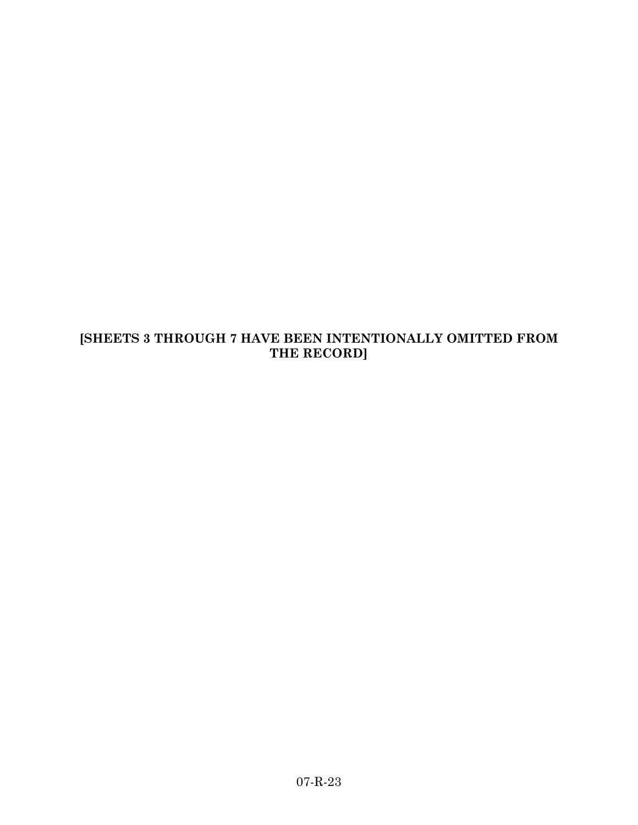# **[SHEETS 3 THROUGH 7 HAVE BEEN INTENTIONALLY OMITTED FROM THE RECORD]**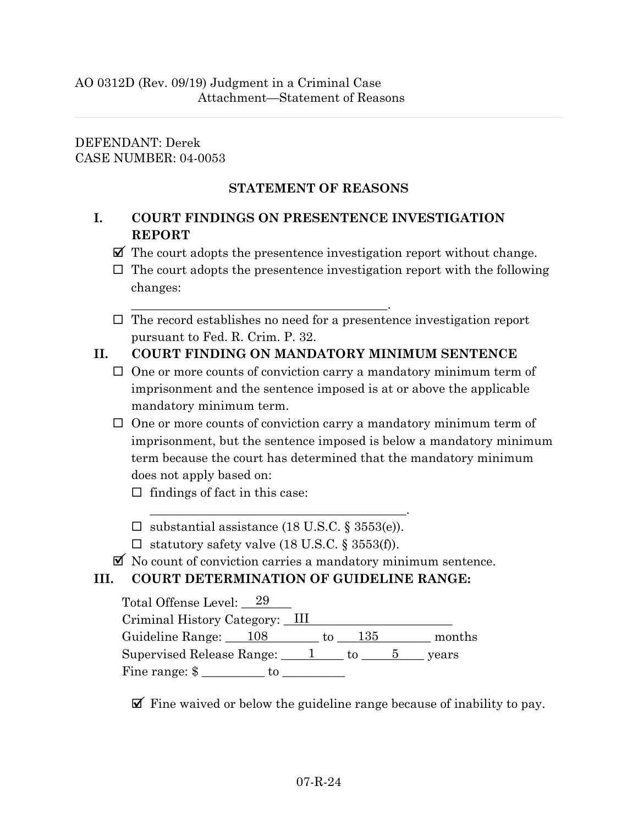# DEFENDANT: Derek CASE NUMBER: 04-0053

# **STATEMENT OF REASONS**

# **I. COURT FINDINGS ON PRESENTENCE INVESTIGATION REPORT**

- $\mathbf{\nabla}$  The court adopts the presentence investigation report without change.
- $\Box$  The court adopts the presentence investigation report with the following changes:
- $\square$  The record establishes no need for a presentence investigation report pursuant to Fed. R. Crim. P. 32.

# **II. COURT FINDING ON MANDATORY MINIMUM SENTENCE**

- $\square$  One or more counts of conviction carry a mandatory minimum term of imprisonment and the sentence imposed is at or above the applicable mandatory minimum term.
- $\square$  One or more counts of conviction carry a mandatory minimum term of imprisonment, but the sentence imposed is below a mandatory minimum term because the court has determined that the mandatory minimum does not apply based on:
	- $\square$  findings of fact in this case:
	- $\square$  substantial assistance (18 U.S.C. § 3553(e)).

\_\_\_\_\_\_\_\_\_\_\_\_\_\_\_\_\_\_\_\_\_\_\_\_\_\_\_\_\_\_\_\_\_\_\_\_\_\_\_\_\_.

 $\Box$  statutory safety valve (18 U.S.C. § 3553(f)).

\_\_\_\_\_\_\_\_\_\_\_\_\_\_\_\_\_\_\_\_\_\_\_\_\_\_\_\_\_\_\_\_\_\_\_\_\_\_\_\_\_.

 $\mathbb Z$  No count of conviction carries a mandatory minimum sentence.

# **III. COURT DETERMINATION OF GUIDELINE RANGE:**

| Total Offense Level: 29                                  |    |          |        |
|----------------------------------------------------------|----|----------|--------|
| Criminal History Category: III                           |    |          |        |
| Guideline Range: 108                                     |    | to $135$ | months |
| Supervised Release Range: $\frac{1}{1}$ to $\frac{5}{1}$ |    |          | years  |
| Fine range: $\frac{1}{2}$                                | to |          |        |

 $\blacktriangleright$  Fine waived or below the guideline range because of inability to pay.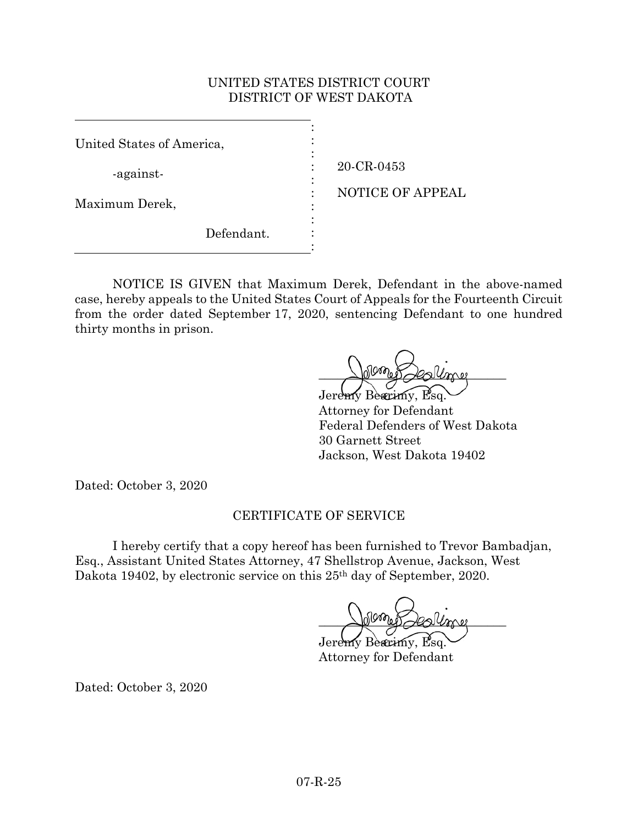#### UNITED STATES DISTRICT COURT DISTRICT OF WEST DAKOTA

| United States of America,   |                                       |
|-----------------------------|---------------------------------------|
| -against-<br>Maximum Derek, | 20-CR-0453<br><b>NOTICE OF APPEAL</b> |
| Defendant.                  |                                       |

NOTICE IS GIVEN that Maximum Derek, Defendant in the above-named case, hereby appeals to the United States Court of Appeals for the Fourteenth Circuit from the order dated September 17, 2020, sentencing Defendant to one hundred thirty months in prison.

 $\triangle$ puner des une Jeremy Bearimy, Esq.

Attorney for Defendant Federal Defenders of West Dakota 30 Garnett Street Jackson, West Dakota 19402

Dated: October 3, 2020

# CERTIFICATE OF SERVICE

I hereby certify that a copy hereof has been furnished to Trevor Bambadjan, Esq., Assistant United States Attorney, 47 Shellstrop Avenue, Jackson, West Dakota 19402, by electronic service on this 25<sup>th</sup> day of September, 2020.

 $\triangle$ poner deslime

Jeremy Bearimy, Esq. Attorney for Defendant

Dated: October 3, 2020